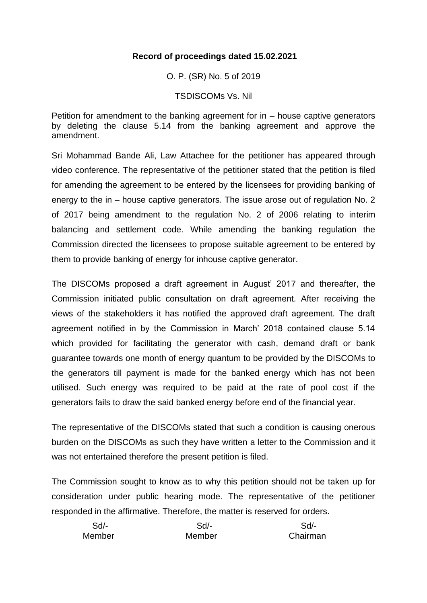# **Record of proceedings dated 15.02.2021**

O. P. (SR) No. 5 of 2019

TSDISCOMs Vs. Nil

Petition for amendment to the banking agreement for in – house captive generators by deleting the clause 5.14 from the banking agreement and approve the amendment.

Sri Mohammad Bande Ali, Law Attachee for the petitioner has appeared through video conference. The representative of the petitioner stated that the petition is filed for amending the agreement to be entered by the licensees for providing banking of energy to the in – house captive generators. The issue arose out of regulation No. 2 of 2017 being amendment to the regulation No. 2 of 2006 relating to interim balancing and settlement code. While amending the banking regulation the Commission directed the licensees to propose suitable agreement to be entered by them to provide banking of energy for inhouse captive generator.

The DISCOMs proposed a draft agreement in August' 2017 and thereafter, the Commission initiated public consultation on draft agreement. After receiving the views of the stakeholders it has notified the approved draft agreement. The draft agreement notified in by the Commission in March' 2018 contained clause 5.14 which provided for facilitating the generator with cash, demand draft or bank guarantee towards one month of energy quantum to be provided by the DISCOMs to the generators till payment is made for the banked energy which has not been utilised. Such energy was required to be paid at the rate of pool cost if the generators fails to draw the said banked energy before end of the financial year.

The representative of the DISCOMs stated that such a condition is causing onerous burden on the DISCOMs as such they have written a letter to the Commission and it was not entertained therefore the present petition is filed.

The Commission sought to know as to why this petition should not be taken up for consideration under public hearing mode. The representative of the petitioner responded in the affirmative. Therefore, the matter is reserved for orders.

| Sd/-   | Sd/-   | Sd       |
|--------|--------|----------|
| Member | Member | Chairman |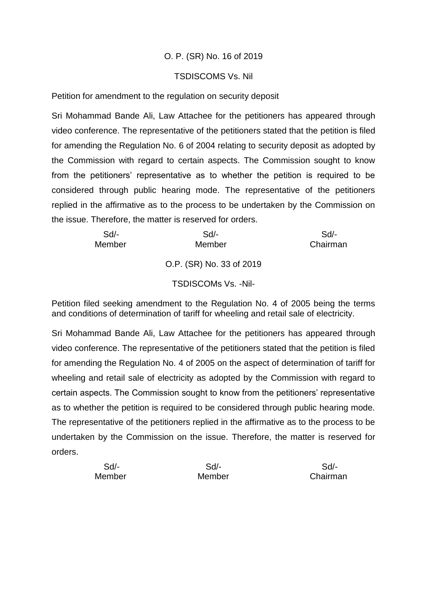# O. P. (SR) No. 16 of 2019

## TSDISCOMS Vs. Nil

Petition for amendment to the regulation on security deposit

Sri Mohammad Bande Ali, Law Attachee for the petitioners has appeared through video conference. The representative of the petitioners stated that the petition is filed for amending the Regulation No. 6 of 2004 relating to security deposit as adopted by the Commission with regard to certain aspects. The Commission sought to know from the petitioners' representative as to whether the petition is required to be considered through public hearing mode. The representative of the petitioners replied in the affirmative as to the process to be undertaken by the Commission on the issue. Therefore, the matter is reserved for orders.

| Sd/-   | Sd                       | Sd/-     |
|--------|--------------------------|----------|
| Member | Member                   | Chairman |
|        | O.P. (SR) No. 33 of 2019 |          |

TSDISCOMs Vs. -Nil-

Petition filed seeking amendment to the Regulation No. 4 of 2005 being the terms and conditions of determination of tariff for wheeling and retail sale of electricity.

Sri Mohammad Bande Ali, Law Attachee for the petitioners has appeared through video conference. The representative of the petitioners stated that the petition is filed for amending the Regulation No. 4 of 2005 on the aspect of determination of tariff for wheeling and retail sale of electricity as adopted by the Commission with regard to certain aspects. The Commission sought to know from the petitioners' representative as to whether the petition is required to be considered through public hearing mode. The representative of the petitioners replied in the affirmative as to the process to be undertaken by the Commission on the issue. Therefore, the matter is reserved for orders.

| $Sd$ - | Sd/-   | Sd/-     |
|--------|--------|----------|
| Member | Member | Chairman |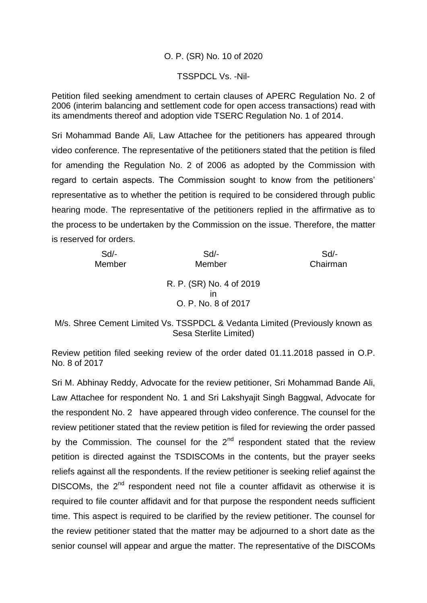## O. P. (SR) No. 10 of 2020

#### TSSPDCL Vs. -Nil-

Petition filed seeking amendment to certain clauses of APERC Regulation No. 2 of 2006 (interim balancing and settlement code for open access transactions) read with its amendments thereof and adoption vide TSERC Regulation No. 1 of 2014.

Sri Mohammad Bande Ali, Law Attachee for the petitioners has appeared through video conference. The representative of the petitioners stated that the petition is filed for amending the Regulation No. 2 of 2006 as adopted by the Commission with regard to certain aspects. The Commission sought to know from the petitioners' representative as to whether the petition is required to be considered through public hearing mode. The representative of the petitioners replied in the affirmative as to the process to be undertaken by the Commission on the issue. Therefore, the matter is reserved for orders.

| $Sd$ - | $Sd$ -                   | Sd       |
|--------|--------------------------|----------|
| Member | Member                   | Chairman |
|        | R. P. (SR) No. 4 of 2019 |          |
|        |                          |          |
|        | ın                       |          |
|        | O. P. No. 8 of 2017      |          |
|        |                          |          |

M/s. Shree Cement Limited Vs. TSSPDCL & Vedanta Limited (Previously known as Sesa Sterlite Limited)

Review petition filed seeking review of the order dated 01.11.2018 passed in O.P. No. 8 of 2017

Sri M. Abhinay Reddy, Advocate for the review petitioner, Sri Mohammad Bande Ali, Law Attachee for respondent No. 1 and Sri Lakshyajit Singh Baggwal, Advocate for the respondent No. 2 have appeared through video conference. The counsel for the review petitioner stated that the review petition is filed for reviewing the order passed by the Commission. The counsel for the  $2<sup>nd</sup>$  respondent stated that the review petition is directed against the TSDISCOMs in the contents, but the prayer seeks reliefs against all the respondents. If the review petitioner is seeking relief against the DISCOMs, the  $2<sup>nd</sup>$  respondent need not file a counter affidavit as otherwise it is required to file counter affidavit and for that purpose the respondent needs sufficient time. This aspect is required to be clarified by the review petitioner. The counsel for the review petitioner stated that the matter may be adjourned to a short date as the senior counsel will appear and argue the matter. The representative of the DISCOMs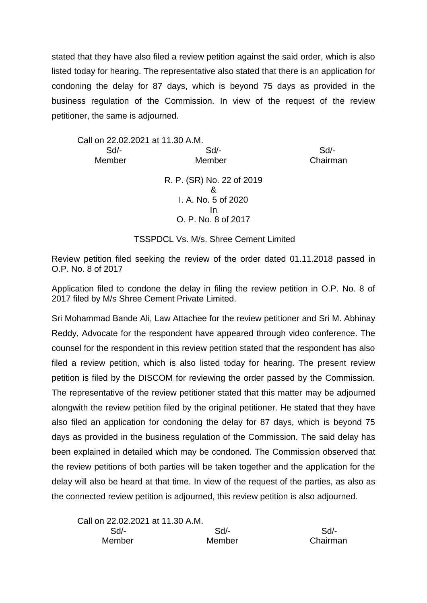stated that they have also filed a review petition against the said order, which is also listed today for hearing. The representative also stated that there is an application for condoning the delay for 87 days, which is beyond 75 days as provided in the business regulation of the Commission. In view of the request of the review petitioner, the same is adjourned.

Call on 22.02.2021 at 11.30 A.M. Sd/- Sd/- Sd/- Member Member Chairman

R. P. (SR) No. 22 of 2019 & I. A. No. 5 of 2020 In O. P. No. 8 of 2017

TSSPDCL Vs. M/s. Shree Cement Limited

Review petition filed seeking the review of the order dated 01.11.2018 passed in O.P. No. 8 of 2017

Application filed to condone the delay in filing the review petition in O.P. No. 8 of 2017 filed by M/s Shree Cement Private Limited.

Sri Mohammad Bande Ali, Law Attachee for the review petitioner and Sri M. Abhinay Reddy, Advocate for the respondent have appeared through video conference. The counsel for the respondent in this review petition stated that the respondent has also filed a review petition, which is also listed today for hearing. The present review petition is filed by the DISCOM for reviewing the order passed by the Commission. The representative of the review petitioner stated that this matter may be adjourned alongwith the review petition filed by the original petitioner. He stated that they have also filed an application for condoning the delay for 87 days, which is beyond 75 days as provided in the business regulation of the Commission. The said delay has been explained in detailed which may be condoned. The Commission observed that the review petitions of both parties will be taken together and the application for the delay will also be heard at that time. In view of the request of the parties, as also as the connected review petition is adjourned, this review petition is also adjourned.

| Call on 22.02.2021 at 11.30 A.M. |        |          |
|----------------------------------|--------|----------|
| Sd/-                             | Sd/-   | $Sd/$ -  |
| Member                           | Member | Chairman |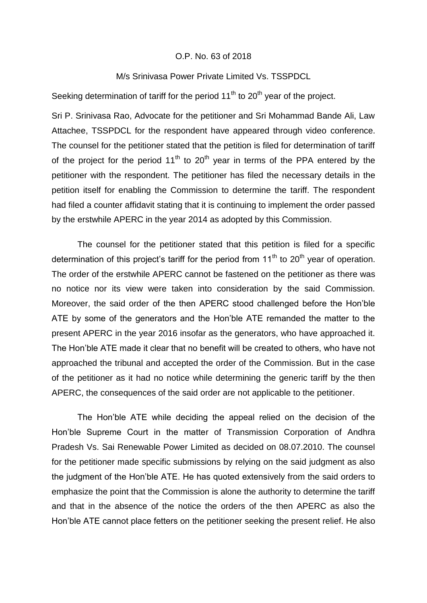#### O.P. No. 63 of 2018

#### M/s Srinivasa Power Private Limited Vs. TSSPDCL

Seeking determination of tariff for the period  $11<sup>th</sup>$  to 20<sup>th</sup> year of the project.

Sri P. Srinivasa Rao, Advocate for the petitioner and Sri Mohammad Bande Ali, Law Attachee, TSSPDCL for the respondent have appeared through video conference. The counsel for the petitioner stated that the petition is filed for determination of tariff of the project for the period  $11<sup>th</sup>$  to  $20<sup>th</sup>$  year in terms of the PPA entered by the petitioner with the respondent. The petitioner has filed the necessary details in the petition itself for enabling the Commission to determine the tariff. The respondent had filed a counter affidavit stating that it is continuing to implement the order passed by the erstwhile APERC in the year 2014 as adopted by this Commission.

The counsel for the petitioner stated that this petition is filed for a specific determination of this project's tariff for the period from  $11<sup>th</sup>$  to  $20<sup>th</sup>$  vear of operation. The order of the erstwhile APERC cannot be fastened on the petitioner as there was no notice nor its view were taken into consideration by the said Commission. Moreover, the said order of the then APERC stood challenged before the Hon'ble ATE by some of the generators and the Hon'ble ATE remanded the matter to the present APERC in the year 2016 insofar as the generators, who have approached it. The Hon'ble ATE made it clear that no benefit will be created to others, who have not approached the tribunal and accepted the order of the Commission. But in the case of the petitioner as it had no notice while determining the generic tariff by the then APERC, the consequences of the said order are not applicable to the petitioner.

The Hon'ble ATE while deciding the appeal relied on the decision of the Hon'ble Supreme Court in the matter of Transmission Corporation of Andhra Pradesh Vs. Sai Renewable Power Limited as decided on 08.07.2010. The counsel for the petitioner made specific submissions by relying on the said judgment as also the judgment of the Hon'ble ATE. He has quoted extensively from the said orders to emphasize the point that the Commission is alone the authority to determine the tariff and that in the absence of the notice the orders of the then APERC as also the Hon'ble ATE cannot place fetters on the petitioner seeking the present relief. He also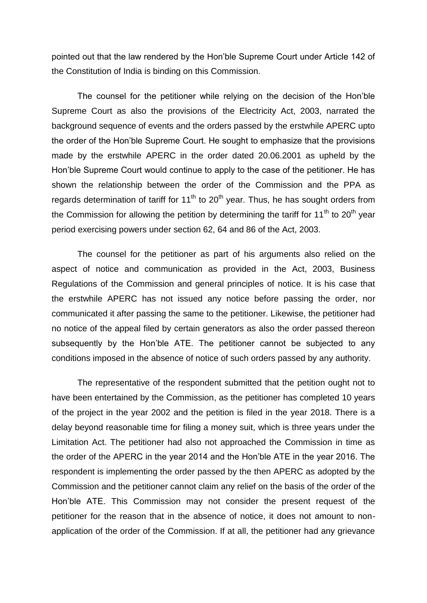pointed out that the law rendered by the Hon'ble Supreme Court under Article 142 of the Constitution of India is binding on this Commission.

The counsel for the petitioner while relying on the decision of the Hon'ble Supreme Court as also the provisions of the Electricity Act, 2003, narrated the background sequence of events and the orders passed by the erstwhile APERC upto the order of the Hon'ble Supreme Court. He sought to emphasize that the provisions made by the erstwhile APERC in the order dated 20.06.2001 as upheld by the Hon'ble Supreme Court would continue to apply to the case of the petitioner. He has shown the relationship between the order of the Commission and the PPA as regards determination of tariff for  $11<sup>th</sup>$  to 20<sup>th</sup> year. Thus, he has sought orders from the Commission for allowing the petition by determining the tariff for 11<sup>th</sup> to 20<sup>th</sup> year period exercising powers under section 62, 64 and 86 of the Act, 2003.

The counsel for the petitioner as part of his arguments also relied on the aspect of notice and communication as provided in the Act, 2003, Business Regulations of the Commission and general principles of notice. It is his case that the erstwhile APERC has not issued any notice before passing the order, nor communicated it after passing the same to the petitioner. Likewise, the petitioner had no notice of the appeal filed by certain generators as also the order passed thereon subsequently by the Hon'ble ATE. The petitioner cannot be subjected to any conditions imposed in the absence of notice of such orders passed by any authority.

The representative of the respondent submitted that the petition ought not to have been entertained by the Commission, as the petitioner has completed 10 years of the project in the year 2002 and the petition is filed in the year 2018. There is a delay beyond reasonable time for filing a money suit, which is three years under the Limitation Act. The petitioner had also not approached the Commission in time as the order of the APERC in the year 2014 and the Hon'ble ATE in the year 2016. The respondent is implementing the order passed by the then APERC as adopted by the Commission and the petitioner cannot claim any relief on the basis of the order of the Hon'ble ATE. This Commission may not consider the present request of the petitioner for the reason that in the absence of notice, it does not amount to nonapplication of the order of the Commission. If at all, the petitioner had any grievance